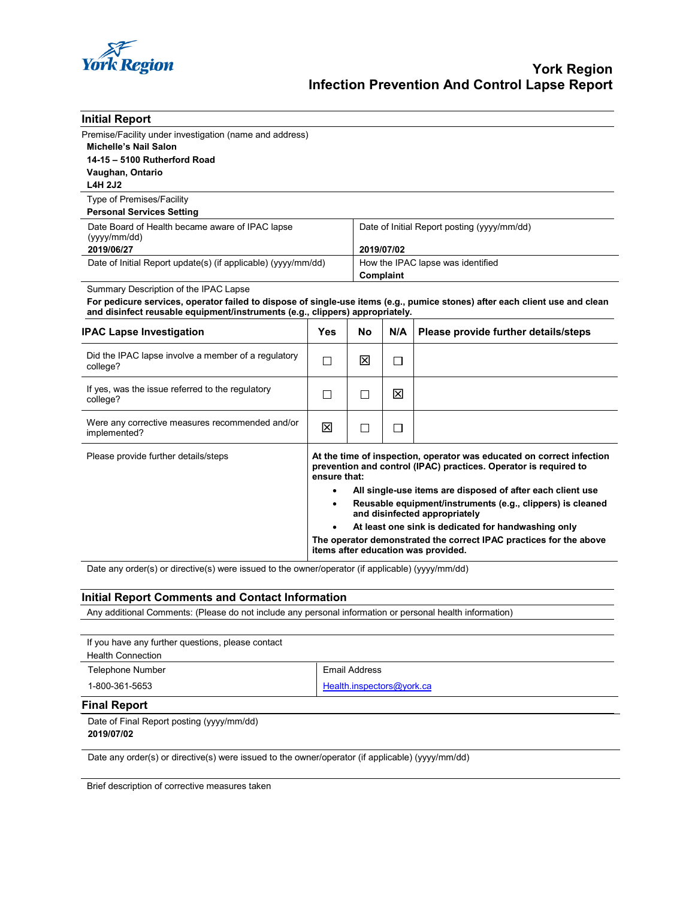

| <b>Initial Report</b>                                                                                                                                                                                       |                                                                                                                                                                                                                                                                                                                                                                                                                                                                                                                      |              |                                             |                                      |  |
|-------------------------------------------------------------------------------------------------------------------------------------------------------------------------------------------------------------|----------------------------------------------------------------------------------------------------------------------------------------------------------------------------------------------------------------------------------------------------------------------------------------------------------------------------------------------------------------------------------------------------------------------------------------------------------------------------------------------------------------------|--------------|---------------------------------------------|--------------------------------------|--|
| Premise/Facility under investigation (name and address)                                                                                                                                                     |                                                                                                                                                                                                                                                                                                                                                                                                                                                                                                                      |              |                                             |                                      |  |
| Michelle's Nail Salon                                                                                                                                                                                       |                                                                                                                                                                                                                                                                                                                                                                                                                                                                                                                      |              |                                             |                                      |  |
| 14-15 - 5100 Rutherford Road                                                                                                                                                                                |                                                                                                                                                                                                                                                                                                                                                                                                                                                                                                                      |              |                                             |                                      |  |
| Vaughan, Ontario                                                                                                                                                                                            |                                                                                                                                                                                                                                                                                                                                                                                                                                                                                                                      |              |                                             |                                      |  |
| <b>L4H 2J2</b>                                                                                                                                                                                              |                                                                                                                                                                                                                                                                                                                                                                                                                                                                                                                      |              |                                             |                                      |  |
| Type of Premises/Facility                                                                                                                                                                                   |                                                                                                                                                                                                                                                                                                                                                                                                                                                                                                                      |              |                                             |                                      |  |
| <b>Personal Services Setting</b>                                                                                                                                                                            |                                                                                                                                                                                                                                                                                                                                                                                                                                                                                                                      |              |                                             |                                      |  |
| Date Board of Health became aware of IPAC lapse                                                                                                                                                             |                                                                                                                                                                                                                                                                                                                                                                                                                                                                                                                      |              | Date of Initial Report posting (yyyy/mm/dd) |                                      |  |
| (yyyy/mm/dd)                                                                                                                                                                                                |                                                                                                                                                                                                                                                                                                                                                                                                                                                                                                                      |              |                                             |                                      |  |
| 2019/06/27                                                                                                                                                                                                  |                                                                                                                                                                                                                                                                                                                                                                                                                                                                                                                      |              | 2019/07/02                                  |                                      |  |
| Date of Initial Report update(s) (if applicable) (yyyy/mm/dd)                                                                                                                                               |                                                                                                                                                                                                                                                                                                                                                                                                                                                                                                                      |              | How the IPAC lapse was identified           |                                      |  |
|                                                                                                                                                                                                             |                                                                                                                                                                                                                                                                                                                                                                                                                                                                                                                      | Complaint    |                                             |                                      |  |
| Summary Description of the IPAC Lapse                                                                                                                                                                       |                                                                                                                                                                                                                                                                                                                                                                                                                                                                                                                      |              |                                             |                                      |  |
| For pedicure services, operator failed to dispose of single-use items (e.g., pumice stones) after each client use and clean<br>and disinfect reusable equipment/instruments (e.g., clippers) appropriately. |                                                                                                                                                                                                                                                                                                                                                                                                                                                                                                                      |              |                                             |                                      |  |
| <b>IPAC Lapse Investigation</b>                                                                                                                                                                             | <b>Yes</b>                                                                                                                                                                                                                                                                                                                                                                                                                                                                                                           | <b>No</b>    | N/A                                         | Please provide further details/steps |  |
| Did the IPAC lapse involve a member of a regulatory<br>college?                                                                                                                                             | П                                                                                                                                                                                                                                                                                                                                                                                                                                                                                                                    | ⊠            | $\Box$                                      |                                      |  |
| If yes, was the issue referred to the regulatory<br>college?                                                                                                                                                | П                                                                                                                                                                                                                                                                                                                                                                                                                                                                                                                    | $\mathsf{L}$ | ⊠                                           |                                      |  |
| Were any corrective measures recommended and/or<br>implemented?                                                                                                                                             | ⊠                                                                                                                                                                                                                                                                                                                                                                                                                                                                                                                    | $\Box$       | П                                           |                                      |  |
| Please provide further details/steps                                                                                                                                                                        | At the time of inspection, operator was educated on correct infection<br>prevention and control (IPAC) practices. Operator is required to<br>ensure that:<br>All single-use items are disposed of after each client use<br>$\bullet$<br>Reusable equipment/instruments (e.g., clippers) is cleaned<br>$\bullet$<br>and disinfected appropriately<br>At least one sink is dedicated for handwashing only<br>The operator demonstrated the correct IPAC practices for the above<br>items after education was provided. |              |                                             |                                      |  |

Date any order(s) or directive(s) were issued to the owner/operator (if applicable) (yyyy/mm/dd)

## **Initial Report Comments and Contact Information**

Any additional Comments: (Please do not include any personal information or personal health information)

| If you have any further questions, please contact<br><b>Health Connection</b> |                           |
|-------------------------------------------------------------------------------|---------------------------|
| <b>Telephone Number</b>                                                       | Email Address             |
| 1-800-361-5653                                                                | Health.inspectors@york.ca |
| <b>Final Report</b>                                                           |                           |
| Date of Final Report posting (yyyy/mm/dd)<br>$\frac{1}{2}$                    |                           |

## **2019/07/02**

Date any order(s) or directive(s) were issued to the owner/operator (if applicable) (yyyy/mm/dd)

Brief description of corrective measures taken